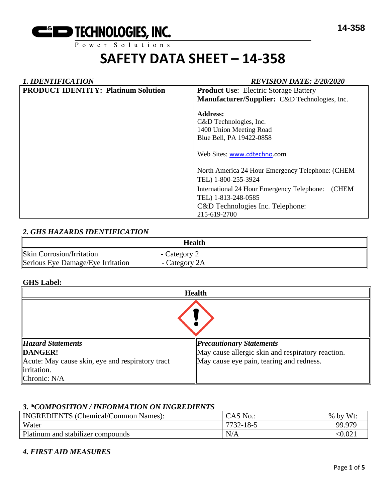# **SAFETY DATA SHEET – 14-358**

| <b>1. IDENTIFICATION</b>                   | <b>REVISION DATE: 2/20/2020</b>                           |  |  |
|--------------------------------------------|-----------------------------------------------------------|--|--|
| <b>PRODUCT IDENTITY: Platinum Solution</b> | <b>Product Use:</b> Electric Storage Battery              |  |  |
|                                            | Manufacturer/Supplier: C&D Technologies, Inc.             |  |  |
|                                            | <b>Address:</b>                                           |  |  |
|                                            | C&D Technologies, Inc.                                    |  |  |
|                                            | 1400 Union Meeting Road                                   |  |  |
|                                            | Blue Bell, PA 19422-0858                                  |  |  |
|                                            | Web Sites: www.cdtechno.com                               |  |  |
|                                            | North America 24 Hour Emergency Telephone: (CHEM          |  |  |
|                                            | TEL) 1-800-255-3924                                       |  |  |
|                                            | International 24 Hour Emergency Telephone:<br><b>CHEM</b> |  |  |
|                                            | TEL) 1-813-248-0585                                       |  |  |
|                                            | C&D Technologies Inc. Telephone:                          |  |  |
|                                            | 215-619-2700                                              |  |  |

#### *2. GHS HAZARDS IDENTIFICATION*

|                                   | Health        |  |
|-----------------------------------|---------------|--|
| <b>Skin Corrosion/Irritation</b>  | - Category 2  |  |
| Serious Eye Damage/Eye Irritation | - Category 2A |  |

#### **GHS Label:**

| <b>Health</b>                                    |                                                   |  |  |
|--------------------------------------------------|---------------------------------------------------|--|--|
|                                                  |                                                   |  |  |
| <b>Hazard Statements</b>                         | <b>Precautionary Statements</b>                   |  |  |
| DANGER!                                          | May cause allergic skin and respiratory reaction. |  |  |
| Acute: May cause skin, eye and respiratory tract | May cause eye pain, tearing and redness.          |  |  |
| lirritation.                                     |                                                   |  |  |
| Chronic: $N/A$                                   |                                                   |  |  |

#### *3. \*COMPOSITION / INFORMATION ON INGREDIENTS*

| <b>INGREDIENTS</b> (Chemical/Common Names): | CAS No          | Wt:<br>$%$ by |
|---------------------------------------------|-----------------|---------------|
| Water                                       | $7732 - 18 - 5$ | 99.979        |
| Platinum and stabilizer compounds           | N/A             | < 0.021       |

#### *4. FIRST AID MEASURES*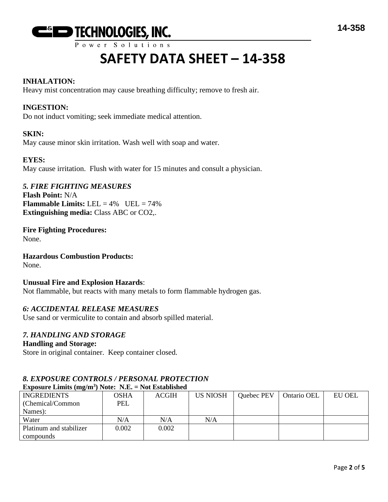

### Power Solutions

# **SAFETY DATA SHEET – 14-358**

#### **INHALATION:**

Heavy mist concentration may cause breathing difficulty; remove to fresh air.

#### **INGESTION:**

Do not induct vomiting; seek immediate medical attention.

#### **SKIN:**

May cause minor skin irritation. Wash well with soap and water.

#### **EYES:**

May cause irritation. Flush with water for 15 minutes and consult a physician.

#### *5. FIRE FIGHTING MEASURES*

**Flash Point:** N/A **Flammable Limits:** LEL  $= 4\%$  UEL  $= 74\%$ **Extinguishing media:** Class ABC or CO2,.

**Fire Fighting Procedures:** None.

#### **Hazardous Combustion Products:**

None.

#### **Unusual Fire and Explosion Hazards**:

Not flammable, but reacts with many metals to form flammable hydrogen gas.

#### *6: ACCIDENTAL RELEASE MEASURES*

Use sand or vermiculite to contain and absorb spilled material.

#### *7. HANDLING AND STORAGE*

#### **Handling and Storage:**

Store in original container. Keep container closed.

#### *8. EXPOSURE CONTROLS / PERSONAL PROTECTION* **Exposure Limits (mg/m<sup>3</sup> ) Note: N.E. = Not Established**

| $\overline{\phantom{0}}$ |       |              |                 |                   |             |               |
|--------------------------|-------|--------------|-----------------|-------------------|-------------|---------------|
| <b>INGREDIENTS</b>       | OSHA  | <b>ACGIH</b> | <b>US NIOSH</b> | <b>Quebec PEV</b> | Ontario OEL | <b>EU OEL</b> |
| (Chemical/Common)        | PEL   |              |                 |                   |             |               |
| Names):                  |       |              |                 |                   |             |               |
| Water                    | N/A   | N/A          | N/A             |                   |             |               |
| Platinum and stabilizer  | 0.002 | 0.002        |                 |                   |             |               |
| compounds                |       |              |                 |                   |             |               |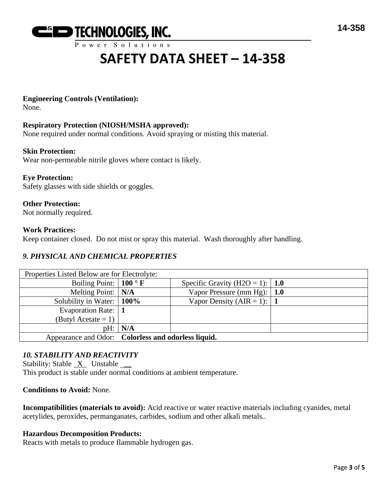

Power Solutions

# **SAFETY DATA SHEET – 14-358**

#### **Engineering Controls (Ventilation):**

None.

#### **Respiratory Protection (NIOSH/MSHA approved):**

None required under normal conditions. Avoid spraying or misting this material.

#### **Skin Protection:**

Wear non-permeable nitrile gloves where contact is likely.

#### **Eye Protection:**

Safety glasses with side shields or goggles.

#### **Other Protection:**

Not normally required.

#### **Work Practices:**

Keep container closed. Do not mist or spray this material. Wash thoroughly after handling.

#### *9. PHYSICAL AND CHEMICAL PROPERTIES*

| Properties Listed Below are for Electrolyte:        |           |                                     |  |  |
|-----------------------------------------------------|-----------|-------------------------------------|--|--|
| Boiling Point: $\vert 100 \degree \text{F} \vert$   |           | Specific Gravity (H2O = 1):   1.0   |  |  |
| Melting Point: $\vert N/A \vert$                    |           | Vapor Pressure (mm Hg): $\vert$ 1.0 |  |  |
| Solubility in Water:   100%                         |           | Vapor Density (AIR = 1): $\vert$ 1  |  |  |
| Evaporation Rate:                                   |           |                                     |  |  |
| (Butyl Acetate = 1) $\vert$                         |           |                                     |  |  |
|                                                     | pH:   N/A |                                     |  |  |
| Appearance and Odor: Colorless and odorless liquid. |           |                                     |  |  |

#### *10. STABILITY AND REACTIVITY*

Stability: Stable  $X$  Unstable  $\_\_\_\$ This product is stable under normal conditions at ambient temperature.

#### **Conditions to Avoid:** None.

**Incompatibilities (materials to avoid):** Acid reactive or water reactive materials including cyanides, metal acetylides, peroxides, permanganates, carbides, sodium and other alkali metals..

#### **Hazardous Decomposition Products:**

Reacts with metals to produce flammable hydrogen gas.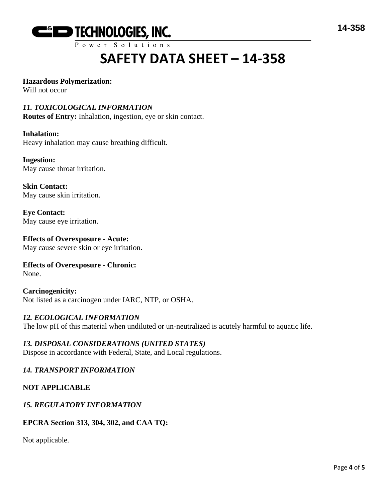

# **SAFETY DATA SHEET – 14-358**

#### **Hazardous Polymerization:**

Will not occur

#### *11. TOXICOLOGICAL INFORMATION*

**Routes of Entry:** Inhalation, ingestion, eye or skin contact.

#### **Inhalation:**

Heavy inhalation may cause breathing difficult.

**Ingestion:** May cause throat irritation.

**Skin Contact:** May cause skin irritation.

**Eye Contact:** May cause eye irritation.

**Effects of Overexposure - Acute:** May cause severe skin or eye irritation.

#### **Effects of Overexposure - Chronic:** None.

**Carcinogenicity:** Not listed as a carcinogen under IARC, NTP, or OSHA.

#### *12. ECOLOGICAL INFORMATION*

The low pH of this material when undiluted or un-neutralized is acutely harmful to aquatic life.

#### *13. DISPOSAL CONSIDERATIONS (UNITED STATES)* Dispose in accordance with Federal, State, and Local regulations.

### *14. TRANSPORT INFORMATION*

## **NOT APPLICABLE**

#### *15. REGULATORY INFORMATION*

#### **EPCRA Section 313, 304, 302, and CAA TQ:**

Not applicable.